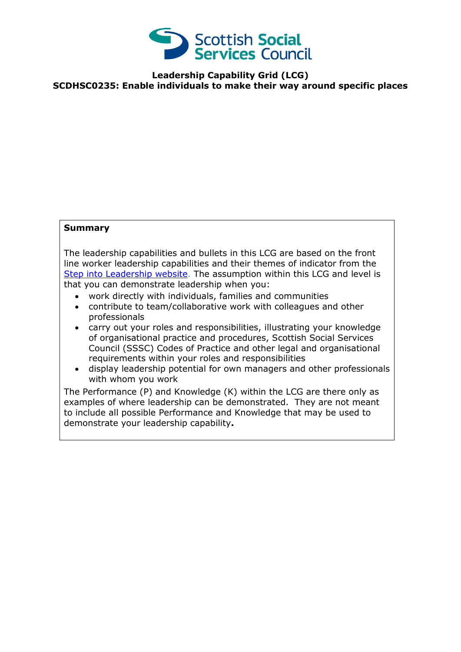

**Leadership Capability Grid (LCG) SCDHSC0235: Enable individuals to make their way around specific places**

## **Summary**

The leadership capabilities and bullets in this LCG are based on the front line worker leadership capabilities and their themes of indicator from the [Step into Leadership website.](http://www.stepintoleadership.info/) The assumption within this LCG and level is that you can demonstrate leadership when you:

- work directly with individuals, families and communities
- contribute to team/collaborative work with colleagues and other professionals
- carry out your roles and responsibilities, illustrating your knowledge of organisational practice and procedures, Scottish Social Services Council (SSSC) Codes of Practice and other legal and organisational requirements within your roles and responsibilities
- display leadership potential for own managers and other professionals with whom you work

The Performance (P) and Knowledge (K) within the LCG are there only as examples of where leadership can be demonstrated. They are not meant to include all possible Performance and Knowledge that may be used to demonstrate your leadership capability**.**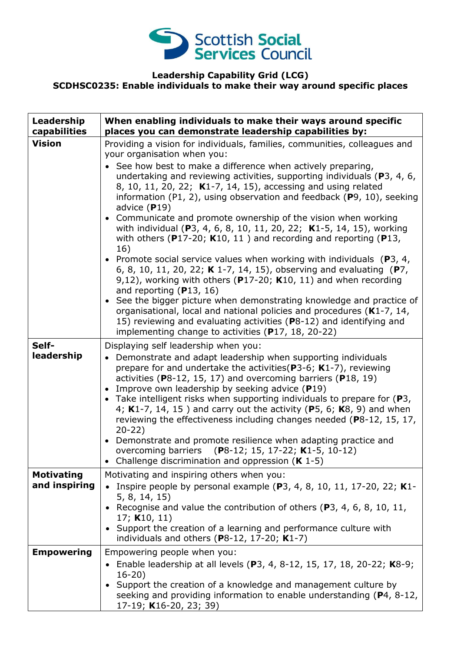

## **Leadership Capability Grid (LCG) SCDHSC0235: Enable individuals to make their way around specific places**

| Leadership<br>capabilities         | When enabling individuals to make their ways around specific<br>places you can demonstrate leadership capabilities by:                                                                                                                                                                                                                                                                                                                                                                                                                                                                                                                                                                                                                                                                                                                                                                                                                                                                                                                                                                                                                                                        |
|------------------------------------|-------------------------------------------------------------------------------------------------------------------------------------------------------------------------------------------------------------------------------------------------------------------------------------------------------------------------------------------------------------------------------------------------------------------------------------------------------------------------------------------------------------------------------------------------------------------------------------------------------------------------------------------------------------------------------------------------------------------------------------------------------------------------------------------------------------------------------------------------------------------------------------------------------------------------------------------------------------------------------------------------------------------------------------------------------------------------------------------------------------------------------------------------------------------------------|
| <b>Vision</b>                      | Providing a vision for individuals, families, communities, colleagues and<br>your organisation when you:<br>See how best to make a difference when actively preparing,<br>undertaking and reviewing activities, supporting individuals ( $P$ 3, 4, 6,<br>8, 10, 11, 20, 22; K1-7, 14, 15), accessing and using related<br>information (P1, 2), using observation and feedback (P9, 10), seeking<br>advice $(P19)$<br>• Communicate and promote ownership of the vision when working<br>with individual (P3, 4, 6, 8, 10, 11, 20, 22; K1-5, 14, 15), working<br>with others (P17-20; K10, 11) and recording and reporting (P13,<br>16)<br>• Promote social service values when working with individuals ( $P_3$ , 4,<br>6, 8, 10, 11, 20, 22; K 1-7, 14, 15), observing and evaluating (P7,<br>9,12), working with others ( $P17-20$ ; K10, 11) and when recording<br>and reporting $(P13, 16)$<br>• See the bigger picture when demonstrating knowledge and practice of<br>organisational, local and national policies and procedures (K1-7, 14,<br>15) reviewing and evaluating activities (P8-12) and identifying and<br>implementing change to activities (P17, 18, 20-22) |
| Self-<br>leadership                | Displaying self leadership when you:<br>Demonstrate and adapt leadership when supporting individuals<br>prepare for and undertake the activities ( $P3-6$ ; K1-7), reviewing<br>activities ( $P8-12$ , 15, 17) and overcoming barriers ( $P18$ , 19)<br>Improve own leadership by seeking advice (P19)<br>• Take intelligent risks when supporting individuals to prepare for $(P3,$<br>4; K1-7, 14, 15) and carry out the activity (P5, 6; K8, 9) and when<br>reviewing the effectiveness including changes needed (P8-12, 15, 17,<br>$20-22)$<br>• Demonstrate and promote resilience when adapting practice and<br>overcoming barriers (P8-12; 15, 17-22; K1-5, 10-12)<br>• Challenge discrimination and oppression $(K 1-5)$                                                                                                                                                                                                                                                                                                                                                                                                                                              |
| <b>Motivating</b><br>and inspiring | Motivating and inspiring others when you:<br>Inspire people by personal example ( $P_3$ , 4, 8, 10, 11, 17-20, 22; K1-<br>5, 8, 14, 15)<br>Recognise and value the contribution of others ( $P3$ , 4, 6, 8, 10, 11,<br>17; $K10, 11$<br>• Support the creation of a learning and performance culture with<br>individuals and others ( $P8-12$ , 17-20; $K1-7$ )                                                                                                                                                                                                                                                                                                                                                                                                                                                                                                                                                                                                                                                                                                                                                                                                               |
| <b>Empowering</b>                  | Empowering people when you:<br>• Enable leadership at all levels (P3, 4, 8-12, 15, 17, 18, 20-22; K8-9;<br>$16 - 20$<br>Support the creation of a knowledge and management culture by<br>seeking and providing information to enable understanding (P4, 8-12,<br>17-19; K16-20, 23; 39)                                                                                                                                                                                                                                                                                                                                                                                                                                                                                                                                                                                                                                                                                                                                                                                                                                                                                       |